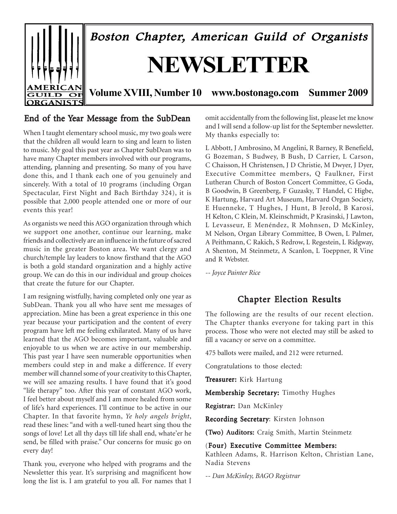

### End of the Year Message from the SubDean

When I taught elementary school music, my two goals were that the children all would learn to sing and learn to listen to music. My goal this past year as Chapter SubDean was to have many Chapter members involved with our programs, attending, planning and presenting. So many of you have done this, and I thank each one of you genuinely and sincerely. With a total of 10 programs (including Organ Spectacular, First Night and Bach Birthday 324), it is possible that 2,000 people attended one or more of our events this year!

As organists we need this AGO organization through which we support one another, continue our learning, make friends and collectively are an influence in the future of sacred music in the greater Boston area. We want clergy and church/temple lay leaders to know firsthand that the AGO is both a gold standard organization and a highly active group. We can do this in our individual and group choices that create the future for our Chapter.

I am resigning wistfully, having completed only one year as SubDean. Thank you all who have sent me messages of appreciation. Mine has been a great experience in this one year because your participation and the content of every program have left me feeling exhilarated. Many of us have learned that the AGO becomes important, valuable and enjoyable to us when we are active in our membership. This past year I have seen numerable opportunities when members could step in and make a difference. If every member will channel some of your creativity to this Chapter, we will see amazing results. I have found that it's good "life therapy" too. After this year of constant AGO work, I feel better about myself and I am more healed from some of life's hard experiences. I'll continue to be active in our Chapter. In that favorite hymn, *Ye holy angels bright*, read these lines: "and with a well-tuned heart sing thou the songs of love! Let all thy days till life shall end, whate'er he send, be filled with praise." Our concerns for music go on every day!

Thank you, everyone who helped with programs and the Newsletter this year. It's surprising and magnificent how long the list is. I am grateful to you all. For names that I

omit accidentally from the following list, please let me know and I will send a follow-up list for the September newsletter. My thanks especially to:

L Abbott, J Ambrosino, M Angelini, R Barney, R Benefield, G Bozeman, S Budwey, B Bush, D Carrier, L Carson, C Chaisson, H Christensen, J D Christie, M Dwyer, J Dyer, Executive Committee members, Q Faulkner, First Lutheran Church of Boston Concert Committee, G Goda, B Goodwin, B Greenberg, F Guzasky, T Handel, C Higbe, K Hartung, Harvard Art Museum, Harvard Organ Society, E Huenneke, T Hughes, J Hunt, B Jerold, B Karosi, H Kelton, C Klein, M. Kleinschmidt, P Krasinski, J Lawton, L Levasseur, E Menéndez, R Mohnsen, D McKinley, M Nelson, Organ Library Committee, B Owen, L Palmer, A Peithmann, C Rakich, S Redrow, L Regestein, L Ridgway, A Shenton, M Steinmetz, A Scanlon, L Toeppner, R Vine and R Webster.

*-- Joyce Painter Rice*

### **Chapter Election Results**

The following are the results of our recent election. The Chapter thanks everyone for taking part in this process. Those who were not elected may still be asked to fill a vacancy or serve on a committee.

475 ballots were mailed, and 212 were returned.

Congratulations to those elected:

Treasurer: Kirk Hartung

Membership Secretary: Timothy Hughes

Registrar: Dan McKinley

Recording Secretary: Kirsten Johnson

(Two) Auditors: Craig Smith, Martin Steinmetz

(Four) Executive Committee Members:

Kathleen Adams, R. Harrison Kelton, Christian Lane, Nadia Stevens

*-- Dan McKinley, BAGO Registrar*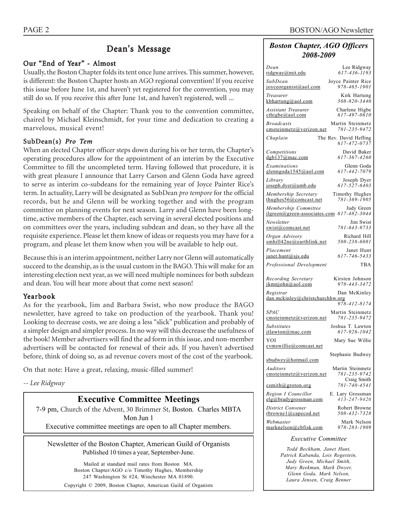### Dean's Message

### Our "End of Year" - Almost

Usually, the Boston Chapter folds its tent once June arrives. This summer, however, is different: the Boston Chapter hosts an AGO regional convention! If you receive this issue before June 1st, and haven't yet registered for the convention, you may still do so. If you receive this after June 1st, and haven't registered, well ...

Speaking on behalf of the Chapter: Thank you to the convention committee, chaired by Michael Kleinschmidt, for your time and dedication to creating a marvelous, musical event!

### SubDean(s) *Pro Tem*

When an elected Chapter officer steps down during his or her term, the Chapter's operating procedures allow for the appointment of an interim by the Executive Committee to fill the uncompleted term. Having followed that procedure, it is with great pleasure I announce that Larry Carson and Glenn Goda have agreed to serve as interim co-subdeans for the remaining year of Joyce Painter Rice's term. In actuality, Larry will be designated as SubDean *pro tempore* for the official records, but he and Glenn will be working together and with the program committee on planning events for next season. Larry and Glenn have been longtime, active members of the Chapter, each serving in several elected positions and on committees over the years, including subdean and dean, so they have all the requisite experience. Please let them know of ideas or requests you may have for a program, and please let them know when you will be available to help out.

Because this is an interim appointment, neither Larry nor Glenn will automatically succeed to the deanship, as is the usual custom in the BAGO. This will make for an interesting election next year, as we will need multiple nominees for both subdean and dean. You will hear more about that come next season!

### Yearbook

As for the yearbook, Jim and Barbara Swist, who now produce the BAGO newsletter, have agreed to take on production of the yearbook. Thank you! Looking to decrease costs, we are doing a less "slick" publication and probably of a simpler design and simpler process. In no way will this decrease the usefulness of the book! Member advertisers will find the ad form in this issue, and non-member advertisers will be contacted for renewal of their ads. If you haven't advertised before, think of doing so, as ad revenue covers most of the cost of the yearbook.

On that note: Have a great, relaxing, music-filled summer!

*-- Lee Ridgway*

### **Executive Committee Meetings**

7-9 pm, Church of the Advent, 30 Brimmer St, Boston. Charles MBTA Mon Jun 1 Executive committee meetings are open to all Chapter members.

Newsletter of the Boston Chapter, American Guild of Organists Published 10 times a year, September-June.

Mailed at standard mail rates from Boston MA. Boston Chapter/AGO c/o Timothy Hughes, Membership 247 Washington St #24, Winchester MA 01890. Copyright © 2009, Boston Chapter, American Guild of Organists

### *Boston Chapter, AGO Officers 2008-2009*

| Dean                                                                         | Lee Ridgway                            |
|------------------------------------------------------------------------------|----------------------------------------|
| ridgway@mit.edu                                                              | 617-436-1193                           |
| SubDean                                                                      | Joyce Painter Rice                     |
| joyceorganist@aol.com                                                        | 978-465-1901                           |
| Treasurer                                                                    | Kirk Hartung                           |
| kbhartung@aol.com                                                            | 508-820-3440                           |
| Assistant Treasurer                                                          | Charlene Higbe                         |
| cthigbe@aol.com                                                              | 617-497-0610                           |
| <b>Broadcasts</b>                                                            | Martin Steinmetz                       |
| cmsteinmetz@verizon.net                                                      | 781-235-9472                           |
| Chaplain                                                                     | The Rev. David Hefling<br>617-472-0737 |
| Competitions                                                                 | David Baker                            |
| dgb137@mac.com                                                               | 617-367-4260                           |
| Examinations                                                                 | Glenn Goda                             |
| glenngoda1545@aol.com                                                        | 617-442-7079                           |
| Library                                                                      | Joseph Dyer                            |
| joseph.dyer@umb.edu                                                          | 617-527-6403                           |
| Membership Secretary                                                         | Timothy Hughes                         |
| thughes $56@$ comcast.net                                                    | 781-369-1905                           |
| Membership Committee Judy Green<br>jlgreen@green-associates.com 617-482-3044 |                                        |
| Newsletter                                                                   | Jim Swist                              |
| swist@comcast.net                                                            | 781-643-9733                           |
| Organ Advisory                                                               | Richard Hill                           |
| smhill42ne@earthlink.net                                                     | 508-238-6081                           |
| Placement                                                                    | Janet Hunt                             |
| janet.hunt@sjs.edu                                                           | 617-746-5433                           |
| Professional Development                                                     | <b>TBA</b>                             |
| Recording Secretary                                                          | Kirsten Johnson                        |
| ikmniohn@aol.com                                                             | 978-443-3472                           |
| Registrar                                                                    | Dan McKinley                           |
| dan.mckinley@christchurchhw.org                                              | $978 - 412 - 8174$                     |
| <i>SPAC</i>                                                                  | Martin Steinmetz                       |
| cmsteinmetz@verizon.net                                                      | 781-235-9472                           |
| <b>Substitutes</b>                                                           | Joshua T. Lawton                       |
| itlawton@mac.com                                                             | 617-926-1042                           |
| YOI<br>cymswillie@comcast.net                                                | Mary Sue Willie                        |
|                                                                              | Stephanie Budwey                       |
| sbudwey@hotmail.com<br>Auditors                                              | Martin Steinmetz                       |
| emsteinmetz@verizon.net                                                      | 781-235-9742<br>Craig Smith            |
| $csmith(\omega)$ groton.org                                                  | 781-740-4541                           |
| Region I Councillor                                                          | E. Lary Grossman                       |
| elg@bradvgrossman.com                                                        |                                        |
|                                                                              | 413-247-9426                           |
| District Convener                                                            | Robert Browne                          |
| rbrownel@capecod.net                                                         | 508-432-7328                           |
| Webmaster                                                                    | Mark Nelson                            |

#### *Executive Committee*

*Todd Beckham, Janet Hunt, Patrick Kabanda, Lois Regestein, Judy Green, Michael Smith, Mary Beekman, Mark Dwyer, Glenn Goda, Mark Nelson, Laura Jensen, Craig Benner*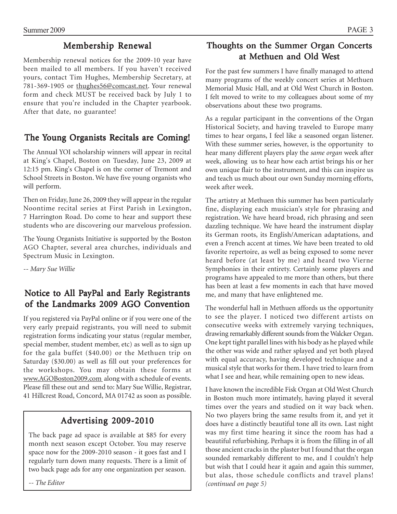### Membership Renewal

Membership renewal notices for the 2009-10 year have been mailed to all members. If you haven't received yours, contact Tim Hughes, Membership Secretary, at 781-369-1905 or thughes56@comcast.net. Your renewal form and check MUST be received back by July 1 to ensure that you're included in the Chapter yearbook. After that date, no guarantee!

### The Young Organists Recitals are Coming!

The Annual YOI scholarship winners will appear in recital at King's Chapel, Boston on Tuesday, June 23, 2009 at 12:15 pm. King's Chapel is on the corner of Tremont and School Streets in Boston. We have five young organists who will perform.

Then on Friday, June 26, 2009 they will appear in the regular Noontime recital series at First Parish in Lexington, 7 Harrington Road. Do come to hear and support these students who are discovering our marvelous profession.

The Young Organists Initiative is supported by the Boston AGO Chapter, several area churches, individuals and Spectrum Music in Lexington.

*-- Mary Sue Willie*

### Notice to All PayPal and Early Registrants of the Landmarks 2009 AGO Convention

If you registered via PayPal online or if you were one of the very early prepaid registrants, you will need to submit registration forms indicating your status (regular member, special member, student member, etc) as well as to sign up for the gala buffet (\$40.00) or the Methuen trip on Saturday (\$30.00) as well as fill out your preferences for the workshops. You may obtain these forms at www.AGOBoston2009.com along with a schedule of events. Please fill these out and send to: Mary Sue Willie, Registrar, 41 Hillcrest Road, Concord, MA 01742 as soon as possible.

## Advertising 2009-2010

The back page ad space is available at \$85 for every month next season except October. You may reserve space now for the 2009-2010 season - it goes fast and I regularly turn down many requests. There is a limit of two back page ads for any one organization per season.

### Thoughts on the Summer Organ Concerts at Methuen and Old West

For the past few summers I have finally managed to attend many programs of the weekly concert series at Methuen Memorial Music Hall, and at Old West Church in Boston. I felt moved to write to my colleagues about some of my observations about these two programs.

As a regular participant in the conventions of the Organ Historical Society, and having traveled to Europe many times to hear organs, I feel like a seasoned organ listener. With these summer series, however, is the opportunity to hear many different players play the *same organ* week after week, allowing us to hear how each artist brings his or her own unique flair to the instrument, and this can inspire us and teach us much about our own Sunday morning efforts, week after week.

The artistry at Methuen this summer has been particularly fine, displaying each musician's style for phrasing and registration. We have heard broad, rich phrasing and seen dazzling technique. We have heard the instrument display its German roots, its English/American adaptations, and even a French accent at times. We have been treated to old favorite repertoire, as well as being exposed to some never heard before (at least by me) and heard two Vierne Symphonies in their entirety. Certainly some players and programs have appealed to me more than others, but there has been at least a few moments in each that have moved me, and many that have enlightened me.

The wonderful hall in Methuen affords us the opportunity to see the player. I noticed two different artists on consecutive weeks with extremely varying techniques, drawing remarkably different sounds from the Walcker Organ. One kept tight parallel lines with his body as he played while the other was wide and rather splayed and yet both played with equal accuracy, having developed technique and a musical style that works for them. I have tried to learn from what I see and hear, while remaining open to new ideas.

I have known the incredible Fisk Organ at Old West Church in Boston much more intimately, having played it several times over the years and studied on it way back when. No two players bring the same results from it, and yet it does have a distinctly beautiful tone all its own. Last night was my first time hearing it since the room has had a beautiful refurbishing. Perhaps it is from the filling in of all those ancient cracks in the plaster but I found that the organ sounded remarkably different to me, and I couldn't help but wish that I could hear it again and again this summer, but alas, those schedule conflicts and travel plans! *(continued on page 5)*

*-- The Editor*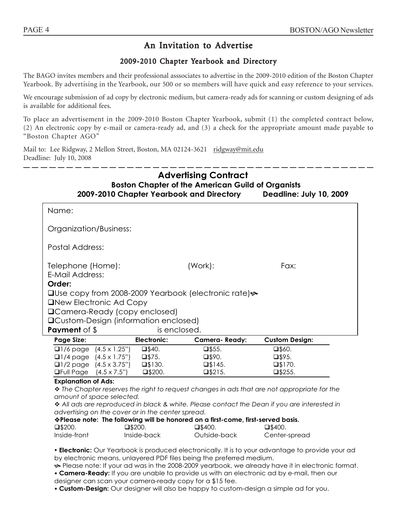### An Invitation to Advertise

### 2009-2010 Chapter Yearbook and Directory

The BAGO invites members and their professional asssociates to advertise in the 2009-2010 edition of the Boston Chapter Yearbook. By advertising in the Yearbook, our 500 or so members will have quick and easy reference to your services.

We encourage submission of ad copy by electronic medium, but camera-ready ads for scanning or custom designing of ads is available for additional fees.

To place an advertisement in the 2009-2010 Boston Chapter Yearbook, submit (1) the completed contract below, (2) An electronic copy by e-mail or camera-ready ad, and (3) a check for the appropriate amount made payable to "Boston Chapter AGO"

Mail to: Lee Ridgway, 2 Mellon Street, Boston, MA 02124-3621 ridgway@mit.edu Deadline: July 10, 2008

### **Advertising Contract Boston Chapter of the American Guild of Organists 2009-2010 Chapter Yearbook and Directory Deadline: July 10, 2009**

Name:

Organization/Business:

Postal Address:

Telephone (Home):  $[Work):$  Fax: E-Mail Address:

**Order:** 

**QUse copy from 2008-2009 Yearbook (electronic rate)** $\sim$ 

■New Electronic Ad Copy

Camera-Ready (copy enclosed)

Custom-Design (information enclosed)

**Payment** of \$ is enclosed.

| Page Size:                           |                                     | Electronic:      | <b>Camera-Ready:</b> | <b>Custom Design:</b> |  |
|--------------------------------------|-------------------------------------|------------------|----------------------|-----------------------|--|
|                                      | $\Box$ 1/6 page $(4.5 \times 1.25)$ | $\square$ \$40.  | $\square$ \$55.      | $\square$ \$60.       |  |
|                                      | $\Box$ 1/4 page $(4.5 \times 1.75)$ | $\square$ \$75.  | $\square$ \$90.      | $\square$ \$95.       |  |
| $\Box$ 1/2 page $(4.5 \times 3.75)$  |                                     | $\square$ \$130. | $\square$ \$145.     | $\square$ \$170.      |  |
| <b>OFull Page</b> $(4.5 \times 7.5)$ |                                     | $\square$ \$200. | $\square$ \$215.     | $\square$ \$255.      |  |

### **Explanation of Ads:**

 *The Chapter reserves the right to request changes in ads that are not appropriate for the amount of space selected.* 

 *All ads are reproduced in black & white. Please contact the Dean if you are interested in advertising on the cover or in the center spread.* 

**Please note: The following will be honored on a first-come, first-served basis.**   $\square$ \$200.  $\square$ \$200.  $\square$ \$400.  $\square$ \$400.  $\square$ \$400.  $\square$ \$400.  $\square$ Center-spread

**• Electronic:** Our Yearbook is produced electronically. It is to your advantage to provide your ad by electronic means, unlayered PDF files being the preferred medium.

^ Please note: If your ad was in the 2008-2009 yearbook, we already have it in electronic format. y **Camera-Ready:** If you are unable to provide us with an electronic ad by e-mail, then our

designer can scan your camera-ready copy for a \$15 fee.

y **Custom-Design:** Our designer will also be happy to custom-design a simple ad for you.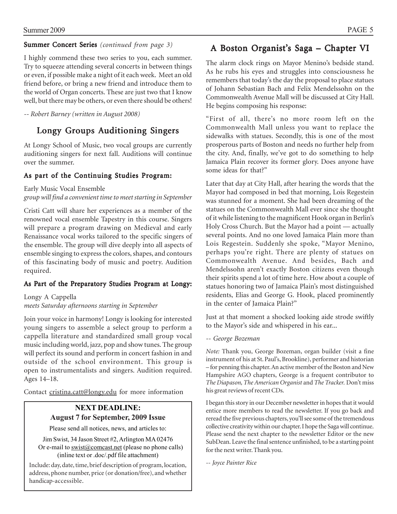### **Summer Concert Series** (continued from page 3)

I highly commend these two series to you, each summer. Try to squeeze attending several concerts in between things or even, if possible make a night of it each week. Meet an old friend before, or bring a new friend and introduce them to the world of Organ concerts. These are just two that I know well, but there may be others, or even there should be others!

*-- Robert Barney (written in August 2008)*

## Longy Groups Auditioning Singers

At Longy School of Music, two vocal groups are currently auditioning singers for next fall. Auditions will continue over the summer.

### As part of the Continuing Studies Program:

Early Music Vocal Ensemble

*group will find a convenient time to meet starting in September*

Cristi Catt will share her experiences as a member of the renowned vocal ensemble Tapestry in this course. Singers will prepare a program drawing on Medieval and early Renaissance vocal works tailored to the specific singers of the ensemble. The group will dive deeply into all aspects of ensemble singing to express the colors, shapes, and contours of this fascinating body of music and poetry. Audition required.

### As Part of the Preparatory Studies Program at Longy:

Longy A Cappella *meets Saturday afternoons starting in September*

Join your voice in harmony! Longy is looking for interested young singers to assemble a select group to perform a cappella literature and standardized small group vocal music including world, jazz, pop and show tunes. The group will perfect its sound and perform in concert fashion in and outside of the school environment. This group is open to instrumentalists and singers. Audition required. Ages 14–18.

Contact cristina.catt@longy.edu for more information

### **NEXT DEADLINE: August 7 for September, 2009 Issue**

Please send all notices, news, and articles to:

Jim Swist, 34 Jason Street #2, Arlington MA 02476 Or e-mail to swist@comcast.net (please no phone calls) (inline text or .doc/.pdf file attachment)

Include: day, date, time, brief description of program, location, address, phone number, price (or donation/free), and whether handicap-accessible.

### A Boston Organist's Saga – Chapter VI

The alarm clock rings on Mayor Menino's bedside stand. As he rubs his eyes and struggles into consciousness he remembers that today's the day the proposal to place statues of Johann Sebastian Bach and Felix Mendelssohn on the Commonwealth Avenue Mall will be discussed at City Hall. He begins composing his response:

"First of all, there's no more room left on the Commonwealth Mall unless you want to replace the sidewalks with statues. Secondly, this is one of the most prosperous parts of Boston and needs no further help from the city. And, finally, we've got to do something to help Jamaica Plain recover its former glory. Does anyone have some ideas for that?"

Later that day at City Hall, after hearing the words that the Mayor had composed in bed that morning, Lois Regestein was stunned for a moment. She had been dreaming of the statues on the Commonwealth Mall ever since she thought of it while listening to the magnificent Hook organ in Berlin's Holy Cross Church. But the Mayor had a point — actually several points. And no one loved Jamaica Plain more than Lois Regestein. Suddenly she spoke, "Mayor Menino, perhaps you're right. There are plenty of statues on Commonwealth Avenue. And besides, Bach and Mendelssohn aren't exactly Boston citizens even though their spirits spend a lot of time here. How about a couple of statues honoring two of Jamaica Plain's most distinguished residents, Elias and George G. Hook, placed prominently in the center of Jamaica Plain?"

Just at that moment a shocked looking aide strode swiftly to the Mayor's side and whispered in his ear...

### *-- George Bozeman*

*Note:* Thank you, George Bozeman, organ builder (visit a fine instrument of his at St. Paul's, Brookline), performer and historian – for penning this chapter. An active member of the Boston and New Hampshire AGO chapters, George is a frequent contributor to *The Diapason, The American Organist* and *The Tracker.* Don't miss his great reviews of recent CDs.

I began this story in our December newsletter in hopes that it would entice more members to read the newsletter. If you go back and reread the five previous chapters, you'll see some of the tremendous collective creativity within our chapter. I hope the Saga will continue. Please send the next chapter to the newsletter Editor or the new SubDean. Leave the final sentence unfinished, to be a starting point for the next writer. Thank you.

*-- Joyce Painter Rice*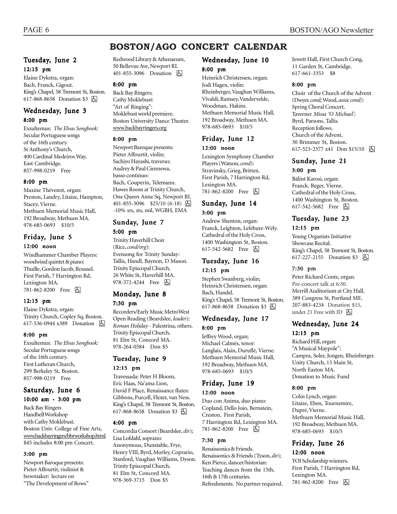### **BOSTON/AGO CONCERT CALENDAR**

### Tuesday, June 2 12:15 pm

Elaine Dykstra, organ: Bach, Franck, Gigout. King's Chapel, 58 Tremont St, Boston. 617-868-8658 Donation \$3 因

### Wednesday, June 3

#### 8:00 pm

Exsultemus: *The Elvas Songbook:* Secular Portuguese songs of the 16th century. St Anthony's Church, 400 Cardinal Medeiros Way, East Cambridge. 857-998-0219 Free

### 8:00 pm

Maxine Thévenot, organ: Preston, Landry, Litaize, Hampton, Stacey, Vierne. Methuen Memorial Music Hall, 192 Broadway, Methuen MA. 978-685-0693 \$10/5

# Friday, June 5

### 12:00 noon

Windhammer Chamber Players: woodwind quintet & piano: Thuille, Gordon Jacob, Roussel. First Parish, 7 Harrington Rd, Lexington MA. 781-862-8200 Free 因

### 12:15 pm

Elaine Dykstra, organ: Trinity Church, Copley Sq, Boston. 617-536-0944 x389 Donation **b** 

#### 8:00 pm

Exsultemus: *The Elvas Songbook:* Secular Portuguese songs of the 16th century. First Lutheran Church, 299 Berkeley St, Boston. 857-998-0219 Free

### Saturday, June 6 10:00 am - 3:00 pm

Back Bay Ringers Handbell Workshop with Cathy Moklebust. Boston Univ. College of Fine Arts, www.backbayringers/bbrworkshop.html \$45 includes 8:00 pm Concert.

### 3:00 pm

Newport Baroque presents: Pieter Affourtit, violinist & bowmaker: lecture on "The Development of Bows" Redwood Library & Athenaeum, 50 Bellevue Ave, Newport RI. 401-855-3096 Donation **b** 

### 8:00 pm

Back Bay Ringers; Cathy Moklebust: "Art of Ringing": Moklebust world premiere. Boston University Dance Theater. www.backbayringers.org

### 8:00 pm

Newport Baroque presents: Pieter Affourtit, violin; Sachiyo Hayashi, traverso; Audrey & Paul Ciennewa, basso continuo: Bach, Couperin, Telemann. Hawes Room at Trinity Church, One Queen Anne Sq, Newport RI. 401-855-3096 \$25/10 (6-18)  $\boxed{6}$ -10% srs, sts, mil, WGBH, EMA

### Sunday, June 7 5:00 pm

Trinity Haverhill Choir (Rice, *cond/org*): Evensong for Trinity Sunday: Tallis, Handl, Baynon, D Mason. Trinity Episcopal Church, 26 White St, Haverhill MA. 978-372-4244 Free **b** 

### Monday, June 8

### 7:30 pm

Recorders/Early Music MetroWest Open Reading (Beardslee, *leader*): *Roman Holiday* - Palestrina, others. Trinity Episcopal Church, 81 Elm St, Concord MA. 978-264-0584 Don \$5

### Tuesday, June 9

#### 12:15 pm

Travessada: Peter H Bloom, Eric Haas, Na'ama Lion, David F Place, Renaissance flutes: Gibbons, Purcell, Flexer, van Ness. King's Chapel, 58 Tremont St, Boston. 617-868-8658 Donation \$3 因

#### 4:00 pm

Concordia Consort (Beardslee, *dir*); Lisa Lofdahl, soprano: Anonymous, Dunstable, Frye, Henry VIII, Byrd, Morley, Coprario, Stanford, Vaughan Williams, Dyson. Trinity Episcopal Church, 81 Elm St, Concord MA. 978-369-3715 Don \$5

### Wednesday, June 10

### 8:00 pm

Heinrich Christensen, organ; Jodi Hagen, violin: Rheinberger, Vaughan Williams, Vivaldi, Ramsey, Vandervelde, Woodman, Hakim. Methuen Memorial Music Hall, 192 Broadway, Methuen MA. 978-685-0693 \$10/5

### Friday, June 12 12:00 noon

Lexington Symphony Chamber Players (Watson, *cond*): Stravinsky, Grieg, Britten. First Parish, 7 Harrington Rd, Lexington MA. 781-862-8200 Free h

### Sunday, June 14 3:00 pm

Andrew Shenton, organ: Franck, Leighton, Lefebure-Wély. Cathedral of the Holy Cross, 1400 Washington St, Boston. 617-542-5682 Free 因

# Tuesday, June 16

### 12:15 pm

Stephen Swanberg, violin; Heinrich Christensen, organ: Bach, Handel. King's Chapel, 58 Tremont St, Boston. 617-868-8658 Donation \$3 | A

### Wednesday, June 17 8:00 pm

Jeffrey Wood, organ; Michael Calmès, tenor: Langlais, Alain, Duruflé, Vierne. Methuen Memorial Music Hall, 192 Broadway, Methuen MA. 978-685-0693 \$10/5

### Friday, June 19

### 12:00 noon

Duo con Anima, duo piano: Copland, Dello Joio, Bernstein, Creston. First Parish, 7 Harrington Rd, Lexington MA. 781-862-8200 Free h

### 7:30 pm

Renaissonics & Friends. Renaissonics & Friends (Tyson, *dir*); Ken Pierce, dancer/historian: Teaching dances from the 15th, 16th & 17th centuries. Refreshments. No partner required. Jewett Hall, First Church Cong, 11 Garden St, Cambridge. 617-661-3353 \$8

#### 8:00 pm

Choir of the Church of the Advent (Dwyer, *cond;* Wood, *assoc cond)*: Spring Choral Concert. Taverner *Missa 'O Michael';* Byrd, Parsons, Tallis. Reception follows. Church of the Advent, 30 Brimmer St, Boston. 617-523-2377 x41 Don \$15/10 因

### Sunday, June 21

#### 3:00 pm

Bálint Karosi, organ: Franck, Reger, Vierne. Cathedral of the Holy Cross, 1400 Washington St, Boston. 617-542-5682 Free 因

### Tuesday, June 23 12:15 pm

Young Organists Initiative Showcase Recital. King's Chapel, 58 Tremont St, Boston. 617-227-2155 Donation \$3 h

### 7:30 pm

Peter Richard Conte, organ. Pre-concert talk at 6:30. Merrill Auditorium at City Hall, 389 Congress St, Portland ME. 207-883-4234 Donation \$15, under 21 Free with ID  $\boxed{6}$ 

### Wednesday, June 24

### 12:15 pm

Richard Hill, organ: "A Musical Maypole": Campra, Soler, Jongen, Rheinberger. Unity Church, 13 Main St, North Easton MA. Donation to Music Fund

### 8:00 pm

Colin Lynch, organ: Litaize, Eben, Tournemire, Dupré, Vierne. Methuen Memorial Music Hall, 192 Broadway, Methuen MA. 978-685-0693 \$10/5

### Friday, June 26 12:00 noon

YOI Scholarship winners. First Parish, 7 Harrington Rd, Lexington MA. 781-862-8200 Free **A**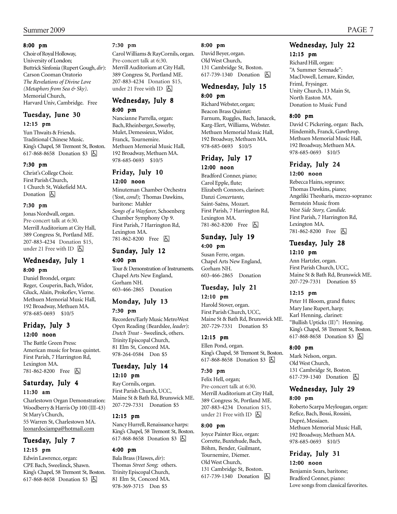### 8:00 pm

Choir of Royal Holloway, University of London; Buttrick Sinfonia (Rupert Gough, *dir*): Carson Cooman Oratorio *The Revelations of Divine Love (Metaphors from Sea & Sky)*. Memorial Church, Harvard Univ, Cambridge. Free

### Tuesday, June 30

#### 12:15 pm

Yun Thwaits & Friends. Traditional Chinese Music. King's Chapel, 58 Tremont St, Boston. 617-868-8658 Donation \$3 h

### 7:30 pm

Christ's College Choir. First Parish Church, 1 Church St, Wakefield MA. Donation **A** 

### 7:30 pm

Jonas Nordwall, organ. Pre-concert talk at 6:30. Merrill Auditorium at City Hall, 389 Congress St, Portland ME. 207-883-4234 Donation \$15, under 21 Free with ID  $\boxed{6}$ 

### Wednesday, July 1 8:00 pm

Daniel Brondel, organ: Reger, Couperin, Bach, Widor, Gluck, Alain, Prokofiev, Vierne. Methuen Memorial Music Hall, 192 Broadway, Methuen MA. 978-685-0693 \$10/5

### Friday, July 3 12:00 noon

The Battle Green Press: American music for brass quintet. First Parish, 7 Harrington Rd, Lexington MA. 781-862-8200 Free 因

### Saturday, July 4

### 11:30 am

Charlestown Organ Demonstration: Woodberry & Harris Op 100 (III-43) St Mary's Church, 55 Warren St, Charlestown MA. leonardociampa@hotmail.com

### Tuesday, July 7 12:15 pm

Edwin Lawrence, organ: CPE Bach, Sweelinck, Shawn. King's Chapel, 58 Tremont St, Boston. 617-868-8658 Donation \$3 &

### 7:30 pm

Carol Williams & RayCornils, organ. Pre-concert talk at 6:30. Merrill Auditorium at City Hall, 389 Congress St, Portland ME. 207-883-4234 Donation \$15, under 21 Free with ID  $\boxed{6}$ 

### Wednesday, July 8 8:00 pm

Nancianne Parrella, organ: Bach, Rheinberger, Sowerby, Mulet, Demessieux, Widor, Franck, Tournemire. Methuen Memorial Music Hall, 192 Broadway, Methuen MA. 978-685-0693 \$10/5

### Friday, July 10 12:00 noon

Minuteman Chamber Orchestra (Yost, *cond*); Thomas Dawkins, baritone: Mahler *Songs of a Wayfarer,* Schoenberg Chamber Symphony Op 9. First Parish, 7 Harrington Rd, Lexington MA.

781-862-8200 Free **A** 

### Sunday, July 12 4:00 pm

Tour & Demonstration of Instruments. Chapel Arts New England, Gorham NH. 603-466-2865 Donation

### Monday, July 13

### 7:30 pm

Recorders/Early Music MetroWest Open Reading (Beardslee, *leader*): *Dutch Treat* - Sweelinck, others. Trinity Episcopal Church, 81 Elm St, Concord MA. 978-264-0584 Don \$5

### Tuesday, July 14

### 12:10 pm

Ray Cornils, organ. First Parish Church, UCC, Maine St & Bath Rd, Brunswick ME. 207-729-7331 Donation \$5

### 12:15 pm

Nancy Hurrell, Renaissance harps: King's Chapel, 58 Tremont St, Boston. 617-868-8658 Donation \$3 因

### 4:00 pm

Bala Brass (Hawes, *dir*): Thomas *Street Song;* others. Trinity Episcopal Church, 81 Elm St, Concord MA. 978-369-3715 Don \$5

### 8:00 pm

David Beyer, organ. Old West Church, 131 Cambridge St, Boston. 617-739-1340 Donation  $\Box$ 

### Wednesday, July 15 8:00 pm

Richard Webster, organ; Beacon Brass Quintet: Farnum, Ruggles, Bach, Janacek, Karg-Elert, Williams, Webster. Methuen Memorial Music Hall, 192 Broadway, Methuen MA. 978-685-0693 \$10/5

### Friday, July 17

### 12:00 noon

Bradford Conner, piano; Carol Epple, flute; Elizabeth Connors, clarinet: Danzi *Concertante,* Saint-Saëns, Mozart. First Parish, 7 Harrington Rd, Lexington MA. 781-862-8200 Free **b** 

### Sunday, July 19 4:00 pm

Susan Ferre, organ. Chapel Arts New England, Gorham NH. 603-466-2865 Donation

# Tuesday, July 21

12:10 pm Harold Stover, organ. First Parish Church, UCC, Maine St & Bath Rd, Brunswick ME. 207-729-7331 Donation \$5

### 12:15 pm

Ellen Pond, organ. King's Chapel, 58 Tremont St, Boston. 617-868-8658 Donation \$3 因

### 7:30 pm

Felix Hell, organ; Pre-concert talk at 6:30. Merrill Auditorium at City Hall, 389 Congress St, Portland ME. 207-883-4234 Donation \$15, under 21 Free with ID  $\boxed{6}$ 

### 8:00 pm

Joyce Painter Rice, organ: Corrette, Buxtehude, Bach, Böhm, Bender, Guilmant, Tournemire, Diemer. Old West Church, 131 Cambridge St, Boston. 617-739-1340 Donation **b** 

# Wednesday, July 22

12:15 pm

Richard Hill, organ: "A Summer Serenade": MacDowell, Lemare, Kinder, Friml, Frysinger. Unity Church, 13 Main St, North Easton MA. Donation to Music Fund

### 8:00 pm

David C Pickering, organ: Bach, Hindemith, Franck, Gawthrop. Methuen Memorial Music Hall, 192 Broadway, Methuen MA. 978-685-0693 \$10/5

### Friday, July 24 12:00 noon

Rebecca Hains, soprano; Thomas Dawkins, piano; Angeliki Theoharis, mezzo-soprano: Bernstein Music from *West Side Story, Candide.* First Parish, 7 Harrington Rd, Lexington MA. 781-862-8200 Free h

### Tuesday, July 28 12:10 pm

Ann Hartzler, organ. First Parish Church, UCC, Maine St & Bath Rd, Brunswick ME. 207-729-7331 Donation \$5

### 12:15 pm

Peter H Bloom, grand flutes; Mary Jane Rupert, harp; Karl Henning, clarinet: "Bullish Upticks (II)": Henning. King's Chapel, 58 Tremont St, Boston. 617-868-8658 Donation \$3 因

### 8:00 pm

Mark Nelson, organ. Old West Church, 131 Cambridge St, Boston. 617-739-1340 Donation  $\boxed{6}$ 

### Wednesday, July 29

### 8:00 pm

Roberto Scarpa Meylougan, organ: Refice, Bach, Bossi, Rossini, Dupré, Messiaen. Methuen Memorial Music Hall, 192 Broadway, Methuen MA. 978-685-0693 \$10/5

### Friday, July 31 12:00 noon

Benjamin Sears, baritone; Bradford Conner, piano: Love songs from classical favorites.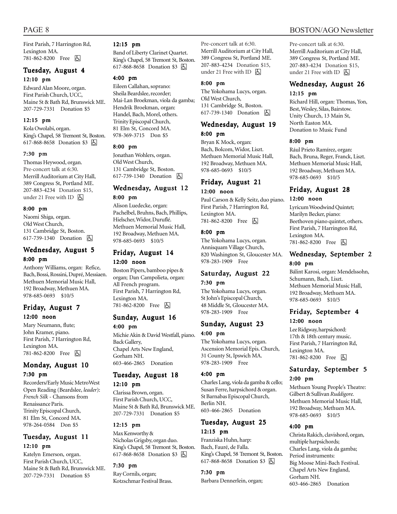First Parish, 7 Harrington Rd, Lexington MA. 781-862-8200 Free h

### Tuesday, August 4 12:10 pm

Edward Alan Moore, organ. First Parish Church, UCC, Maine St & Bath Rd, Brunswick ME. 207-729-7331 Donation \$5

#### 12:15 pm

Kola Owolabi, organ. King's Chapel, 58 Tremont St, Boston. 617-868-8658 Donation \$3 **b** 

#### 7:30 pm

Thomas Heywood, organ. Pre-concert talk at 6:30. Merrill Auditorium at City Hall, 389 Congress St, Portland ME. 207-883-4234 Donation \$15, under 21 Free with ID  $\boxed{6}$ 

### 8:00 pm

Naomi Shiga, organ. Old West Church, 131 Cambridge St, Boston. 617-739-1340 Donation **b** 

### Wednesday, August 5

### 8:00 pm

Anthony Williams, organ: Refice, Bach, Bossi, Rossini, Dupré, Messiaen. Methuen Memorial Music Hall, 192 Broadway, Methuen MA. 978-685-0693 \$10/5

### Friday, August 7 12:00 noon

Mary Neumann, flute; John Kramer, piano. First Parish, 7 Harrington Rd, Lexington MA. 781-862-8200 Free **b** 

## Monday, August 10

### 7:30 pm

Recorders/Early Music MetroWest Open Reading (Beardslee, *leader*): *French Silk* - Chansons from Renaissance Paris. Trinity Episcopal Church, 81 Elm St, Concord MA. 978-264-0584 Don \$5

### Tuesday, August 11 12:10 pm

Katelyn Emerson, organ. First Parish Church, UCC, Maine St & Bath Rd, Brunswick ME. 207-729-7331 Donation \$5

#### 12:15 pm

Band of Liberty Clarinet Quartet. King's Chapel, 58 Tremont St, Boston. 617-868-8658 Donation \$3 &

#### 4:00 pm

Eileen Callahan, soprano: Sheila Beardslee, recorder; Mai-Lan Broekman, viola da gamba; Hendrik Broekman, organ: Handel, Bach, Morel, others. Trinity Episcopal Church, 81 Elm St, Concord MA. 978-369-3715 Don \$5

#### 8:00 pm

Jonathan Wohlers, organ. Old West Church, 131 Cambridge St, Boston. 617-739-1340 Donation **囚** 

### Wednesday, August 12 8:00 pm

Alison Luedecke, organ: Pachelbel, Bruhns, Bach, Phillips, Hielscher, Widor, Duruflé. Methuen Memorial Music Hall, 192 Broadway, Methuen MA. 978-685-0693 \$10/5

### Friday, August 14 12:00 noon

Boston Pipers, bamboo pipes & organ; Dan Campolieta, organ: All French program. First Parish, 7 Harrington Rd, Lexington MA. 781-862-8200 Free **b** 

### Sunday, August 16

4:00 pm

Michie Akin & David Westfall, piano. Back Gallery, Chapel Arts New England, Gorham NH. 603-466-2865 Donation

### Tuesday, August 18 12:10 pm

Clarissa Brown, organ. First Parish Church, UCC, Maine St & Bath Rd, Brunswick ME. 207-729-7331 Donation \$5

### 12:15 pm

Max Kenworthy & Nicholas Grigsby, organ duo. King's Chapel, 58 Tremont St, Boston. 617-868-8658 Donation \$3 因

### 7:30 pm

Ray Cornils, organ; Kotzschmar Festival Brass. Pre-concert talk at 6:30. Merrill Auditorium at City Hall, 389 Congress St, Portland ME. 207-883-4234 Donation \$15, under 21 Free with ID  $\boxed{6}$ 

#### 8:00 pm

The Yokohama Lucys, organ. Old West Church, 131 Cambridge St, Boston. 617-739-1340 Donation **A** 

### Wednesday, August 19

#### 8:00 pm

Bryan K Mock, organ: Bach, Bolcom, Widor, Liszt. Methuen Memorial Music Hall, 192 Broadway, Methuen MA. 978-685-0693 \$10/5

### Friday, August 21 12:00 noon

Paul Carson & Kelly Seitz, duo piano. First Parish, 7 Harrington Rd, Lexington MA. 781-862-8200 Free 因

#### 8:00 pm

The Yokohama Lucys, organ. Annisquam Village Church, 820 Washington St, Gloucester MA. 978-283-1909 Free

### Saturday, August 22

### 7:30 pm

The Yokohama Lucys, organ. St John's Episcopal Church, 48 Middle St, Gloucester MA. 978-283-1909 Free

### Sunday, August 23

### 4:00 pm

The Yokohama Lucys, organ. Ascension Memorial Epis. Church, 31 County St, Ipswich MA. 978-283-1909 Free

### 4:00 pm

Charles Lang, viola da gamba & cello; Susan Ferre, harpsichord & organ. St Barnabas Episcopal Church, Berlin NH. 603-466-2865 Donation

### Tuesday, August 25 12:15 pm

Franziska Huhn, harp: Bach, Fauré, de Falla. King's Chapel, 58 Tremont St, Boston. 617-868-8658 Donation \$3 [5]

### 7:30 pm

Barbara Dennerlein, organ;

### PAGE 8 BOSTON/AGO Newsletter

Pre-concert talk at 6:30. Merrill Auditorium at City Hall, 389 Congress St, Portland ME. 207-883-4234 Donation \$15, under 21 Free with ID  $\boxed{6}$ 

### Wednesday, August 26

### 12:15 pm

Richard Hill, organ: Thomas, Yon, Best, Wesley, Silas, Bairstow. Unity Church, 13 Main St, North Easton MA. Donation to Music Fund

#### 8:00 pm

Rául Prieto Ramírez, organ: Bach, Bruna, Reger, Franck, Liszt. Methuen Memorial Music Hall, 192 Broadway, Methuen MA. 978-685-0693 \$10/5

### Friday, August 28

#### 12:00 noon

Lyricum Woodwind Quintet; Marilyn Becker, piano: Beethoven piano quintet, others. First Parish, 7 Harrington Rd, Lexington MA. 781-862-8200 Free **A** 

### Wednesday, September 2 8:00 pm

Bálint Karosi, organ: Mendelssohn, Schumann, Bach, Liszt. Methuen Memorial Music Hall, 192 Broadway, Methuen MA. 978-685-0693 \$10/5

### Friday, September 4 12:00 noon

Lee Ridgway, harpsichord: 17th & 18th century music. First Parish, 7 Harrington Rd, Lexington MA. 781-862-8200 Free h

### Saturday, September 5 2:00 pm

Methuen Young People's Theatre: Gilbert & Sullivan *Ruddigore.* Methuen Memorial Music Hall, 192 Broadway, Methuen MA. 978-685-0693 \$10/5

### 4:00 pm

Christa Rakich, clavishord, organ, multiple harpsichords; Charles Lang, viola da gamba; Period instruments: Big Moose Mini-Bach Festival. Chapel Arts New England, Gorham NH. 603-466-2865 Donation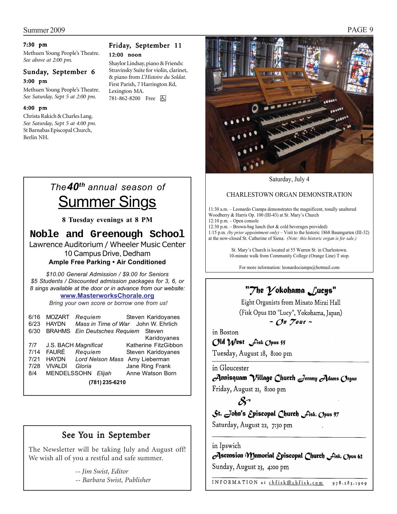### 7:30 pm

Methuen Young People's Theatre. *See above at 2:00 pm.*

### Sunday, September 6 3:00 pm

Methuen Young People's Theatre. *See Saturday, Sept 5 at 2:00 pm.*

### 4:00 pm

Christa Rakich & Charles Lang. *See Saturday, Sept 5 at 4:00 pm.* St Barnabas Episcopal Church, Berlin NH.

# Friday, September 11

### 12:00 noon

Shaylor Lindsay, piano & Friends: Stravinsky Suite for violin, clarinet, & piano from *L'Histoire du Soldat.* First Parish, 7 Harrington Rd, Lexington MA. 781-862-8200 Free **b** 



Saturday, July 4

### CHARLESTOWN ORGAN DEMONSTRATION

11:30 a.m. – Leonardo Ciampa demonstrates the magnificent, tonally unaltered Woodberry & Harris Op. 100 (III-43) at St. Mary's Church 12:10 p.m. – Open console

12:30 p.m. – Brown-bag lunch (hot & cold beverages provided) 1:15 p.m. *(by prior appointment only)* – Visit to the historic 1868 Baumgarten (III-32) at the now-closed St. Catherine of Siena. *(Note: this historic organ is for sale.)* 

> St. Mary's Church is located at 55 Warren St. in Charlestown. 10-minute walk from Community College (Orange Line) T stop.

For more information: leonardociampa@hotmail.com

## "The Yokohama Lucys"

Eight Organists from Minato Mirai Hall (Fisk Opus IIO "Lucy", Yokohama, Japan)  $\sim$  *On Tour*  $\sim$ 

in Boston

 $Old West$   $\mathcal{L}$ isk  $Opus$  55

Tuesday, August 18, 8:00 pm

in Gloucester Annisquam Village Church Jeremy Adams Organ

Friday, August 21, 8:00 pm

St. John's Episcopal Church Fisk, Opus 97 Saturday, August 22, 7:30 pm

in Ipswich

Ascension Memorial Episcopal Church Fisk, Opus 62 Sunday, August 23, 4:00 pm

INFORMATION at cbfisk@cbfisk.com 978.283.1909

# *The***40th** *annual season of* **Summer Sings**

**8 Tuesday evenings at 8 PM**

**Noble and Greenough School** Lawrence Auditorium / Wheeler Music Center

10 Campus Drive, Dedham

**Ample Free Parking • Air Conditioned**

*\$10.00 General Admission / \$9.00 for Seniors \$5 Students / Discounted admission packages for 3, 6, or 8 sings available at the door or in advance from our website:*

**www.MasterworksChorale.org**

*Bring your own score or borrow one from us!*

| 6/16           | <b>MOZART</b>            | Requiem                              | Steven Karidoyanes                  |  |
|----------------|--------------------------|--------------------------------------|-------------------------------------|--|
| 6/23           | <b>HAYDN</b>             |                                      | Mass in Time of War John W. Ehrlich |  |
| 6/30           | <b>BRAHMS</b>            | <b>Ein Deutsches Requiem</b>         | Steven                              |  |
|                |                          |                                      | Karidoyanes                         |  |
|                | 7/7 J.S. BACH Magnificat |                                      | Katherine FitzGibbon                |  |
| 7/14           | FAURÉ <i>Requiem</i>     |                                      | Steven Karidovanes                  |  |
| 7/21           |                          | HAYDN Lord Nelson Mass Amy Lieberman |                                     |  |
| 7/28           | <b>VIVALDI</b>           | Gloria                               | Jane Ring Frank                     |  |
| 8/4            | MENDELSSOHN              | Eliiah                               | Anne Watson Born                    |  |
| (781) 235-6210 |                          |                                      |                                     |  |

### See You in September

The Newsletter will be taking July and August off! We wish all of you a restful and safe summer.

> *-- Jim Swist, Editor -- Barbara Swist, Publisher*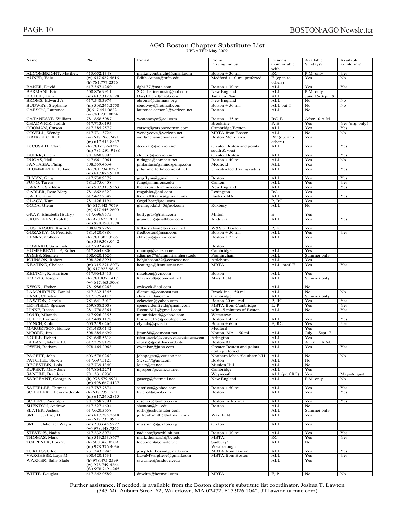# <u>AGO Boston Chapter Substitute List</u><br>UPDATED May 2009

| Name                                | Phone                                | E-mail                                                      | From/<br>Driving radius            | Denoms.<br>Comfortable       | Available<br>Sundays? | Available<br>as Interim? |
|-------------------------------------|--------------------------------------|-------------------------------------------------------------|------------------------------------|------------------------------|-----------------------|--------------------------|
|                                     |                                      |                                                             |                                    | with                         |                       |                          |
| ALCOMBRIGHT, Matthew                | 413.652.1348                         | matt.alcombright@gmail.com                                  | Boston $+30$ mi.                   | RC                           | P.M. only             | Yes                      |
| AUNER, Edie                         | (w) 617.627.5616<br>(h) 781.777.2376 | Edith.Auner@tufts.edu                                       | Medford + 10 mi. preferred         | $E$ (open to<br>others)      | Yes                   | No                       |
| BAKER, David                        | 617.367.4260                         | $d$ gb137@mac.com                                           | Boston $+30$ mi.                   | <b>ALL</b>                   | Yes                   | Yes                      |
| <b>BERMANI</b> . Eric               | 508.876.9911                         | StCatherinemusic@aol.com                                    | New England                        | <b>ALL</b>                   | P.M. only             |                          |
| BICHEL, Daryl                       | $(m)$ 617.312.8328                   | DarylBichel@aol.com                                         | Jamaica Plain                      | <b>ALL</b>                   | June 15-Sep. 19       |                          |
| BROMS, Edward A.                    | 617.548.3974                         | ebroms@diomass.org                                          | New England                        | <b>ALL</b>                   | No                    | No                       |
| BUDWEY, Stephanie                   | $(m)$ 508.245.2758                   | sbudwey@hotmail.com                                         | Boston + 50 mi.                    | ALL but T                    | No                    | No                       |
| CARSON, Laurence                    | (h)617.451.0822                      | laurence.carson2@verizon.net                                | Boston                             | ALL                          | No                    |                          |
|                                     | (w)781.235.0034                      |                                                             |                                    |                              |                       |                          |
| CATANESYE, William                  | 781.858.5087                         | wcatanesye@aol.com                                          | Boston $+35$ mi.                   | RC, E                        | After 10 A.M.         |                          |
| CHADWICK, Judith                    | 617.713.0193                         |                                                             | Brookline                          | P, E                         | Yes                   | Yes (org. only)          |
| COOMAN, Carson                      | 617.285.2577                         | carson@carsoncooman.com                                     | Cambridge/Boston                   | <b>ALL</b>                   | Yes                   | Yes                      |
| COVELL, Wendy                       | 617.731.3726                         | wendvcove@verizon.net                                       | <b>MBTA</b> from Boston            | <b>ALL</b>                   | No                    | No                       |
| D'ANGELO, Rich                      | (w) 617.266.2471                     | wolf@channelwolves.com                                      | Boston Metro area                  | RC (open to                  | Yes                   |                          |
|                                     | $(m)$ 617.513.8837                   |                                                             |                                    | others)                      |                       |                          |
| DeCUSATI, Claire                    | (h) 781-582-8722                     | decusati@verizon.net                                        | Greater Boston and points          | <b>ALL</b>                   | Yes                   | Yes                      |
|                                     | $(m)$ 781-291-9188                   |                                                             | south & west                       | <b>ALL</b>                   | Yes                   | Yes                      |
| DUERR, Cheryl<br>DUGAS, Neil        | 781.860.8893<br>617.661.2061         | clduerr@verizon.net<br>n-dugas@comcast.net                  | Greater Boston<br>Boston $+40$ mi. | <b>ALL</b>                   | Yes                   | No                       |
| FANTASIA, Philip                    | 508.359.4634                         | pmfantasia@mindspring.com                                   | Medfield                           | <b>ALL</b>                   | Yes                   |                          |
| FLUMMERFELT, Jane                   | (h) 781.734.0327                     | j.flummerfelt@comcast.net                                   | Unrestricted driving radius        | ALL                          | Yes                   | Yes                      |
|                                     | $(m)$ 617.875.9310                   |                                                             |                                    |                              |                       |                          |
| FLYYN, Greg                         | 617.730.9377                         | grgrflynn@gmail.com                                         | Boston                             | <b>ALL</b>                   | Yes                   | Yes                      |
| FUNG. Teresa                        | 781.575.0408                         | fung@simmons.edu                                            | Canton                             | ALL                          | Yes                   | Yes                      |
| GAARD, Sheldon                      | $(m)$ 507.318.9563                   | theharpistetc@msn.com                                       | New England                        | <b>ALL</b>                   | Yes                   | Yes                      |
| <b>GABLER, Rose Mary</b>            | 781.862.6322                         | rmgabler@aol.com                                            | Lexington                          | RC                           | Yes                   |                          |
| GALIE, Kevin                        | 617.427.2342                         | KevinJNGalie@gmail.com                                      | Eastern MA                         | <b>ALL</b>                   | Yes                   | Yes                      |
| GLACY, Kurt                         | 781.426.1194                         | OrgelBear@aol.com                                           |                                    | $\overline{P}$ , RC          | Yes                   |                          |
| GODA, Glenn                         | (h) 617.442.7079                     | glenngoda1545@aol.com                                       | Roxbury                            | ALL                          | No                    |                          |
|                                     | $(w)$ 617.445.2600                   |                                                             |                                    |                              |                       |                          |
| GRAY, Elisabeth (Buffy)             | 617.696.9575                         | buffygray@msn.com                                           | Milton                             | E                            | Yes                   |                          |
| GRUNDEEN, Paulette                  | (h) 978.623.7031                     | grundeen@mathbox.com                                        | Andover                            | ALL                          | Yes                   | Yes                      |
|                                     | $(m)$ 978.790.1878                   |                                                             |                                    |                              |                       |                          |
| GUSTAFSON, Karin J.                 | 508.879.7262                         | KJGustafson@verizon.net                                     | W&S of Boston                      | P, E, L                      | Yes                   |                          |
| GUZASKY, G. Fredrick                | 781.420.6880                         | fredboston@msn.com                                          | Boston $+50$ mi.                   | ALL                          | Yes                   | Yes                      |
| HENRY, Colleen                      | (h) 781.305.3565                     | cbhkeys@yahoo.com                                           | Boston $+25$ mi.                   | ALL                          | Yes                   |                          |
|                                     | $(m)$ 339.368.0442                   |                                                             |                                    |                              |                       |                          |
| HOWARD, Suzannah                    | 617.792.4247                         |                                                             | Boston                             |                              | Yes                   |                          |
| HUMPHREVILLE, Robert                | 617.864.0800                         | r.hump@verizon.net                                          | Cambridge                          | <b>ALL</b>                   | Yes                   |                          |
| JAMES, Stephen<br>JOHNSON, Robert   | 508.620.1626<br>508.226.8991         | sdjames77@alumni.amherst.edu                                | Framingham<br>Attleboro            | <b>ALL</b><br><b>ALL</b>     | Summer only           |                          |
| KEATING, Chelsea                    | $(m)$ 315.271.8073                   | bobjohnson22@comcast.net<br>keatingc@frontiernet.net        | <b>MBTA</b>                        | ALL, pref. E                 | Yes<br>Yes            | Yes                      |
|                                     | (h) 617.923.9845                     |                                                             |                                    |                              |                       |                          |
| KELTON, R. Harrison                 | 617.964.3413                         | rhkelton@rcn.com                                            | <b>Boston</b>                      | ALI                          | Yes                   |                          |
| KODZIS, Joseph                      | (h) 781.837.1417                     | Klavier39@comcast.net                                       | Marshfield                         | ALL                          | Summer only           |                          |
|                                     | $(w)$ 617.463.3008                   |                                                             |                                    |                              |                       |                          |
| KWOK, Esther                        | 781.986.0263                         | ewkwok@aol.com                                              |                                    | <b>ALL</b>                   | No                    |                          |
| LAMOUREUX, Daniel                   | 617.232.1345                         | dlamour@comcast.net                                         | Brookline + 50 mi.                 | <b>ALL</b>                   | No                    | No                       |
| LANE, Christian                     | 917.575.4113                         | christian.lane@m                                            | Cambridge                          | <b>ALL</b>                   | Summer only           |                          |
| LAWTON, Carole                      | 781.641.3012                         | czlawton@yahoo.com                                          | Boston 20 mi. rad                  | P, RC                        | Yes                   | Yes                      |
| LENFIELD, Spencer                   | 269.808.2008                         | spencer.lenfield@gmail.com                                  | MBTA from Cambridge                | L, P                         | Yes                   | Yes                      |
| LINKE, Reena                        | 281.770.8361                         | Reena.M.L@gmail.com                                         | w/in 45 minutes of Boston          | <b>ALL</b>                   | No                    | Yes                      |
| LOUD, Miranda                       | 617.926.2355                         | mirandaloud@yahoo.com                                       | Watertown                          |                              |                       |                          |
| LUEFT, Lorraine                     | 617.489.1178                         | LorraineL2@peoplepc.com                                     | Boston + 45 mi.                    | <b>ALL</b>                   | Yes                   | Yes                      |
| LYNCH, Colin                        | 603.219.0264                         | clynch@sps.edu                                              | Boston $+60$ mi.<br>Medford        | E, RC                        | Yes                   | Yes                      |
| MARGETSON, Eunice                   | 781.483.6142                         |                                                             |                                    |                              | Yes                   |                          |
| MOORE, Jim<br>NOBLE, Robert         | 508.285.6699<br>781.648.5618         | jimm88@comcast.net<br>robert.noble@evergreeninvestments.com | Norton, MA + 50 mi.<br>Arlington   | ALI<br><b>ALL</b>            | July 1-Sept. 7<br>Yes |                          |
| OLBASH, Michael J.                  | 617.275.8129                         | olbash@post.harvard.edu                                     | Boston/RI                          | <b>ALL</b>                   | After 11 A.M.         |                          |
| OWEN, Barbara                       | 978.465.2068                         | owenbar@juno.com                                            | Greater Boston and points          | <b>ALL</b>                   | r es                  | Yes                      |
|                                     |                                      |                                                             | north preferred                    |                              |                       |                          |
| PAGETT, John                        | 603.578.0262                         | johnpagett@verizon.net                                      | Northern Mass./Southern NH         | ALL                          | No                    | No                       |
| PATCHEL, Steven                     | 617.697.5123                         | SteveP7@aol.com                                             | Boston                             | <b>ALL</b>                   | No                    |                          |
| REGESTEIN, Lois                     | 617.739.1340                         | lois.r@att.net                                              | Mission Hill                       | <b>ALL</b>                   | No                    |                          |
| RUPERT, Mary Jane                   | 617.864.2271                         | mjrupert@comcast.net                                        | Cambridge                          | ALL                          | Yes                   |                          |
| SANTINI, Brandon                    | 781.331.0930                         |                                                             | Weymouth                           | ALL (pref RC)                | Yes                   | May-August               |
| SARGEANT, George A.                 | $(h)$ 978.579.9921                   | gasorg@fastmail.net                                         | New England                        | ALL                          | P.M. only             | No.                      |
|                                     | $(m)$ 508.667.4137                   |                                                             |                                    |                              |                       |                          |
| SATERLEE, Thomas                    | 617.787.7874                         | saterleet@yahoo.com                                         | Boston + 50 mi.                    | <b>ALL</b>                   | Yes                   | Yes                      |
| SCHEIBERT, Beverly Jerold           | (h) $617.739.1751$                   | bvjerold@aol.com                                            | Boston                             | ALL                          | Yes                   | Yes                      |
|                                     | $(m)$ 617.240.2815                   |                                                             |                                    |                              |                       |                          |
| SCHERP, Randolph                    | 781.258.7791                         | r scherp@yahoo.com                                          | Boston metro area                  | <b>ALL</b>                   | Yes                   | Yes                      |
| SHENTON, Andrew                     | 617.327.4604                         | shenton@bu.edu                                              | Boston                             | <b>ALL</b>                   | No                    |                          |
| SLATER, Joshua<br>SMITH, Jeffrey H. | 617.620.3658<br>(m) 617.285.2618     | josh@joshuaslater.com<br>jeffreyhsmith@hotmail.com          | Wakefield                          | <b>ALL</b><br>$\mathbf{ALL}$ | Summer only<br>Yes    |                          |
|                                     | $(w)$ 617.735.9953                   |                                                             |                                    |                              |                       |                          |
| SMITH, Michael Wayne                | $(m)$ 203.645.9227                   | mwsmith@groton.org                                          | Groton                             | ALL                          | Yes                   |                          |
|                                     | $(w)$ 978.448.7365                   |                                                             |                                    |                              |                       |                          |
| STEVENS, Nadia                      | 617.232.8074                         | nadiaste@earthlink.net                                      | Boston $+30$ mi.                   | <b>ALL</b>                   | Yes                   | Yes                      |
| THOMAS, Mark                        | $(m)$ 513.253.8677                   | mark.thomas.1@bc.edu                                        | <b>MBTA</b>                        | RC                           | Yes                   | Yes                      |
| TOEPPNER, Lois Z.                   | (h) $508.366.0509$                   | toeppner4@charter.net                                       | Sudbury/                           | ALL                          | No                    |                          |
|                                     | $(m)$ 978.376.4036                   |                                                             | Westborough                        |                              |                       |                          |
| TURBESSI, Joe                       | 231.343.5943                         | joseph.turbessi@gmail.com                                   | <b>MBTA</b> from Boston            | <b>ALL</b>                   | Yes                   | Yes                      |
| VARGHESE, Laya M.                   | 908.420.1531                         | LayaMVarghese@gmail.com                                     | <b>MBTA</b> from Boston            | <b>ALL</b>                   | Yes                   | Yes                      |
| <b>WARNER, Sally Slade</b>          | (h) 978.475.2599                     | sswarner@andover.edu                                        |                                    | $\mathbf{ALL}$               | Yes                   |                          |
|                                     | $(w)$ 978.749.4264                   |                                                             |                                    |                              |                       |                          |
|                                     | $(fx)$ 978.749.4265                  |                                                             |                                    |                              |                       |                          |
| WITTE, Douglas                      | 617.242.0589                         | dnwitte@hotmail.com                                         | <b>MBTA</b>                        | E.P                          | No                    | No                       |

Further assistance, if needed, is available from the Boston chapter's substitute list coordinator. Joshua T. Lawton  $(545 \text{ Mt}$ . Auburn Street #2. Watertown. MA  $02472$ .  $617.926.1042$ . JTL awton at mac.com)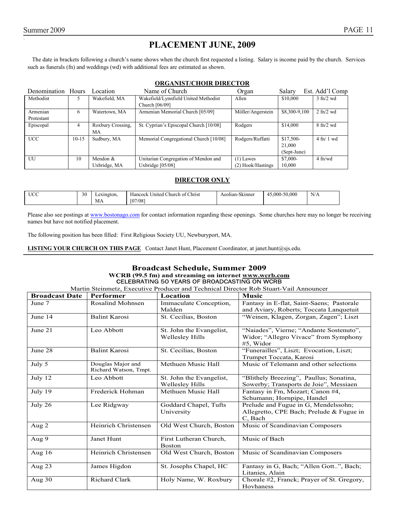### **PLACEMENT JUNE, 2009**

 The date in brackets following a church's name shows when the church first requested a listing. Salary is income paid by the church. Services such as funerals (fn) and weddings (wd) with additional fees are estimated as shown.

### **ORGANIST/CHOIR DIRECTOR**

| Denomination Hours |         | Location          | Name of Church                         | Organ             | Salary        | Est. Add'l Comp                 |
|--------------------|---------|-------------------|----------------------------------------|-------------------|---------------|---------------------------------|
| Methodist          |         | Wakefield, MA     | Wakefield/Lynnfield United Methodist   | Allen             | \$10,000      | $3$ fn/2 wd                     |
|                    |         |                   | Church $[06/09]$                       |                   |               |                                 |
| Armenian           | 6       | Watertown, MA     | Armenian Memorial Church [05/09]       | Möller/Angerstein | \$8,300-9,100 | $2 \text{ ft}$ / $2 \text{ wd}$ |
| Protestant         |         |                   |                                        |                   |               |                                 |
| Episcopal          | 4       | Roxbury Crossing, | St. Cyprian's Episcopal Church [10/08] | Rodgers           | \$14,000      | $8 \text{ ft}$ /2 wd            |
|                    |         | МA                |                                        |                   |               |                                 |
| <b>UCC</b>         | $10-15$ | Sudbury, MA       | Memorial Congregational Church [10/08] | Rodgers/Ruffatti  | $$17,500-$    | $4 \text{ ft} / 1 \text{ wd}$   |
|                    |         |                   |                                        |                   | 21,000        |                                 |
|                    |         |                   |                                        |                   | (Sept-June)   |                                 |
| UU                 | 10      | Mendon &          | Unitarian Congregation of Mendon and   | $(1)$ Lawes       | $$7,000-$     | $4 \text{ ft/wd}$               |
|                    |         | Uxbridge, MA      | Uxbridge [05/08]                       | (2) Hook/Hastings | 10,000        |                                 |

### **DIRECTOR ONLY**

| T T | 30<br>- - | $\sim$ $\sim$<br>xıngton. | $\sim$ $\sim$ $\sim$<br>°Christ<br>lancock<br>:hurch of<br>Inited<br>$\sim$ $\sim$ | $\sim$ $\sim$<br>5kinne <sup>,</sup> | 50.000<br>$\mathbf{a}\mathbf{a}$ | .<br>N/A<br>the contract of the contract of |
|-----|-----------|---------------------------|------------------------------------------------------------------------------------|--------------------------------------|----------------------------------|---------------------------------------------|
|     |           | МA                        | 07/08                                                                              |                                      |                                  |                                             |

Please also see postings at www.bostonago.com for contact information regarding these openings. Some churches here may no longer be receiving names but have not notified placement.

The following position has been filled: First Religious Society UU, Newburyport, MA.

**LISTING YOUR CHURCH ON THIS PAGE** Contact Janet Hunt, Placement Coordinator, at janet.hunt@sjs.edu.

#### **Broadcast Schedule, Summer 2009 WCRB (99.5 fm) and streaming on internet www.wcrb.com** CELEBRATING 50 YEARS OF BROADCASTING ON WCRB

Martin Steinmetz, Executive Producer and Technical Director Rob Stuart-Vail Announcer

| <b>Broadcast Date</b> | <b>Performer</b>                           | Location                                           | <b>Music</b>                                                                                  |
|-----------------------|--------------------------------------------|----------------------------------------------------|-----------------------------------------------------------------------------------------------|
| June 7                | <b>Rosalind Mohnsen</b>                    | Immaculate Conception,<br>Malden                   | Fantasy in E-flat, Saint-Saens; Pastorale<br>and Aviary, Roberts; Toccata Lanquetuit          |
| June 14               | <b>Balint Karosi</b>                       | St. Cecilias, Boston                               | "Weinen, Klagen, Zorgan, Zagen"; Liszt                                                        |
| June 21               | Leo Abbott                                 | St. John the Evangelist,<br>Wellesley Hills        | "Naiades", Vierne; "Andante Sostenuto",<br>Widor; "Allegro Vivace" from Symphony<br>#5, Widor |
| June 28               | Balint Karosi                              | St. Cecilias, Boston                               | "Funerailles", Liszt; Evocation, Liszt;<br>Trumpet Toccata, Karosi                            |
| July 5                | Douglas Major and<br>Richard Watson, Tmpt. | Methuen Music Hall                                 | Music of Telemann and other selections                                                        |
| July 12               | Leo Abbott                                 | St. John the Evangelist,<br><b>Wellesley Hills</b> | "Blithely Breezing", Paullus; Sonatina,<br>Sowerby; Transports de Joie", Messiaen             |
| July 19               | Frederick Hohman                           | Methuen Music Hall                                 | Fantasy in Fm, Mozart; Canon #4,<br>Schumann; Hornpipe, Handel                                |
| July 26               | Lee Ridgway                                | Goddard Chapel, Tufts<br>University                | Prelude and Fugue in G, Mendelssohn;<br>Allegretto, CPE Bach; Prelude & Fugue in<br>C, Bach   |
| Aug 2                 | Heinrich Christensen                       | Old West Church, Boston                            | Music of Scandinavian Composers                                                               |
| Aug 9                 | Janet Hunt                                 | First Lutheran Church,<br><b>Boston</b>            | Music of Bach                                                                                 |
| Aug 16                | Heinrich Christensen                       | Old West Church, Boston                            | Music of Scandinavian Composers                                                               |
| Aug 23                | James Higdon                               | St. Josephs Chapel, HC                             | Fantasy in G, Bach; "Allen Gott", Bach;<br>Litanies, Alain                                    |
| Aug 30                | <b>Richard Clark</b>                       | Holy Name, W. Roxbury                              | Chorale #2, Franck; Prayer of St. Gregory,<br>Hovhaness                                       |